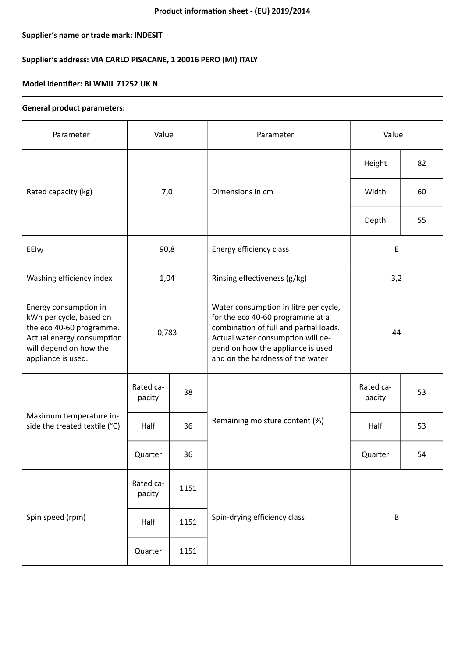# **Supplier's name or trade mark: INDESIT**

# **Supplier's address: VIA CARLO PISACANE, 1 20016 PERO (MI) ITALY**

### **Model identifier: BI WMIL 71252 UK N**

### **General product parameters:**

| Parameter                                                                                                                                                 | Value               |      | Parameter                                                                                                                                                                                                                         | Value               |    |
|-----------------------------------------------------------------------------------------------------------------------------------------------------------|---------------------|------|-----------------------------------------------------------------------------------------------------------------------------------------------------------------------------------------------------------------------------------|---------------------|----|
|                                                                                                                                                           | 7,0                 |      | Dimensions in cm                                                                                                                                                                                                                  | Height              | 82 |
| Rated capacity (kg)                                                                                                                                       |                     |      |                                                                                                                                                                                                                                   | Width               | 60 |
|                                                                                                                                                           |                     |      |                                                                                                                                                                                                                                   | Depth               | 55 |
| EEIw                                                                                                                                                      | 90,8                |      | Energy efficiency class                                                                                                                                                                                                           | E                   |    |
| Washing efficiency index                                                                                                                                  | 1,04                |      | Rinsing effectiveness (g/kg)                                                                                                                                                                                                      | 3,2                 |    |
| Energy consumption in<br>kWh per cycle, based on<br>the eco 40-60 programme.<br>Actual energy consumption<br>will depend on how the<br>appliance is used. | 0,783               |      | Water consumption in litre per cycle,<br>for the eco 40-60 programme at a<br>combination of full and partial loads.<br>Actual water consumption will de-<br>pend on how the appliance is used<br>and on the hardness of the water | 44                  |    |
| Maximum temperature in-<br>side the treated textile (°C)                                                                                                  | Rated ca-<br>pacity | 38   | Remaining moisture content (%)                                                                                                                                                                                                    | Rated ca-<br>pacity | 53 |
|                                                                                                                                                           | Half                | 36   |                                                                                                                                                                                                                                   | Half                | 53 |
|                                                                                                                                                           | Quarter             | 36   |                                                                                                                                                                                                                                   | Quarter             | 54 |
| Spin speed (rpm)                                                                                                                                          | Rated ca-<br>pacity | 1151 |                                                                                                                                                                                                                                   | $\sf B$             |    |
|                                                                                                                                                           | Half                | 1151 | Spin-drying efficiency class                                                                                                                                                                                                      |                     |    |
|                                                                                                                                                           | Quarter             | 1151 |                                                                                                                                                                                                                                   |                     |    |